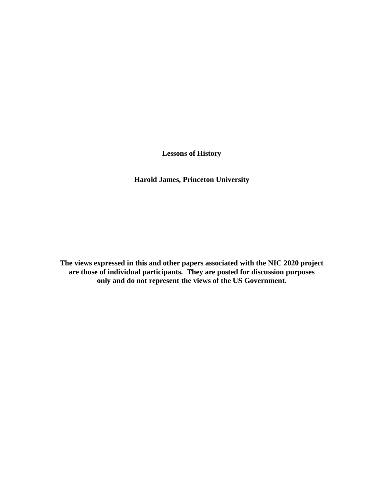**Lessons of History**

**Harold James, Princeton University**

**The views expressed in this and other papers associated with the NIC 2020 project are those of individual participants. They are posted for discussion purposes only and do not represent the views of the US Government.**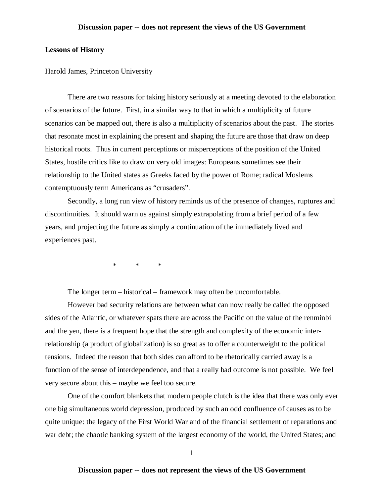## **Lessons of History**

Harold James, Princeton University

There are two reasons for taking history seriously at a meeting devoted to the elaboration of scenarios of the future. First, in a similar way to that in which a multiplicity of future scenarios can be mapped out, there is also a multiplicity of scenarios about the past. The stories that resonate most in explaining the present and shaping the future are those that draw on deep historical roots. Thus in current perceptions or misperceptions of the position of the United States, hostile critics like to draw on very old images: Europeans sometimes see their relationship to the United states as Greeks faced by the power of Rome; radical Moslems contemptuously term Americans as "crusaders".

Secondly, a long run view of history reminds us of the presence of changes, ruptures and discontinuities. It should warn us against simply extrapolating from a brief period of a few years, and projecting the future as simply a continuation of the immediately lived and experiences past.

\*\*\*

The longer term – historical – framework may often be uncomfortable.

However bad security relations are between what can now really be called the opposed sides of the Atlantic, or whatever spats there are across the Pacific on the value of the renminbi and the yen, there is a frequent hope that the strength and complexity of the economic interrelationship (a product of globalization) is so great as to offer a counterweight to the political tensions. Indeed the reason that both sides can afford to be rhetorically carried away is a function of the sense of interdependence, and that a really bad outcome is not possible. We feel very secure about this – maybe we feel too secure.

One of the comfort blankets that modern people clutch is the idea that there was only ever one big simultaneous world depression, produced by such an odd confluence of causes as to be quite unique: the legacy of the First World War and of the financial settlement of reparations and war debt; the chaotic banking system of the largest economy of the world, the United States; and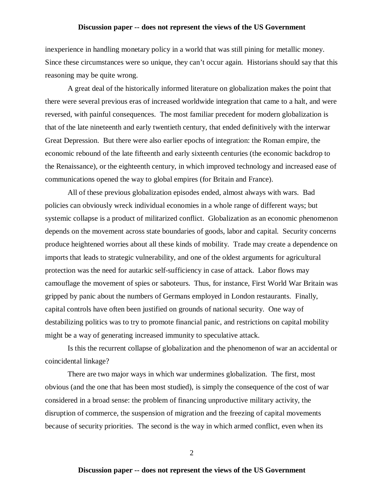inexperience in handling monetary policy in a world that was still pining for metallic money. Since these circumstances were so unique, they can't occur again. Historians should say that this reasoning may be quite wrong.

A great deal of the historically informed literature on globalization makes the point that there were several previous eras of increased worldwide integration that came to a halt, and were reversed, with painful consequences. The most familiar precedent for modern globalization is that of the late nineteenth and early twentieth century, that ended definitively with the interwar Great Depression. But there were also earlier epochs of integration: the Roman empire, the economic rebound of the late fifteenth and early sixteenth centuries (the economic backdrop to the Renaissance), or the eighteenth century, in which improved technology and increased ease of communications opened the way to global empires (for Britain and France).

All of these previous globalization episodes ended, almost always with wars. Bad policies can obviously wreck individual economies in a whole range of different ways; but systemic collapse is a product of militarized conflict. Globalization as an economic phenomenon depends on the movement across state boundaries of goods, labor and capital. Security concerns produce heightened worries about all these kinds of mobility. Trade may create a dependence on imports that leads to strategic vulnerability, and one of the oldest arguments for agricultural protection was the need for autarkic self-sufficiency in case of attack. Labor flows may camouflage the movement of spies or saboteurs. Thus, for instance, First World War Britain was gripped by panic about the numbers of Germans employed in London restaurants. Finally, capital controls have often been justified on grounds of national security. One way of destabilizing politics was to try to promote financial panic, and restrictions on capital mobility might be a way of generating increased immunity to speculative attack.

Is this the recurrent collapse of globalization and the phenomenon of war an accidental or coincidental linkage?

There are two major ways in which war undermines globalization. The first, most obvious (and the one that has been most studied), is simply the consequence of the cost of war considered in a broad sense: the problem of financing unproductive military activity, the disruption of commerce, the suspension of migration and the freezing of capital movements because of security priorities. The second is the way in which armed conflict, even when its

2

# **Discussion paper -- does not represent the views of the US Government**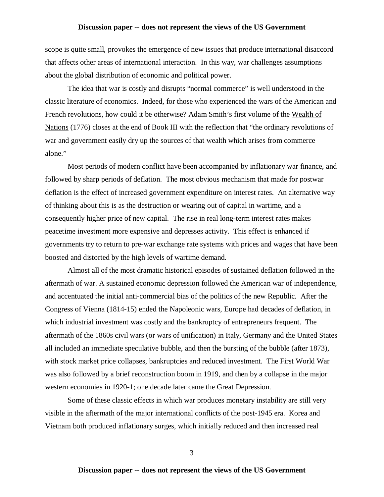scope is quite small, provokes the emergence of new issues that produce international disaccord that affects other areas of international interaction. In this way, war challenges assumptions about the global distribution of economic and political power.

The idea that war is costly and disrupts "normal commerce" is well understood in the classic literature of economics. Indeed, for those who experienced the wars of the American and French revolutions, how could it be otherwise? Adam Smith's first volume of the Wealth of Nations (1776) closes at the end of Book III with the reflection that "the ordinary revolutions of war and government easily dry up the sources of that wealth which arises from commerce alone."

Most periods of modern conflict have been accompanied by inflationary war finance, and followed by sharp periods of deflation. The most obvious mechanism that made for postwar deflation is the effect of increased government expenditure on interest rates. An alternative way of thinking about this is as the destruction or wearing out of capital in wartime, and a consequently higher price of new capital. The rise in real long-term interest rates makes peacetime investment more expensive and depresses activity. This effect is enhanced if governments try to return to pre-war exchange rate systems with prices and wages that have been boosted and distorted by the high levels of wartime demand.

Almost all of the most dramatic historical episodes of sustained deflation followed in the aftermath of war. A sustained economic depression followed the American war of independence, and accentuated the initial anti-commercial bias of the politics of the new Republic. After the Congress of Vienna (1814-15) ended the Napoleonic wars, Europe had decades of deflation, in which industrial investment was costly and the bankruptcy of entrepreneurs frequent. The aftermath of the 1860s civil wars (or wars of unification) in Italy, Germany and the United States all included an immediate speculative bubble, and then the bursting of the bubble (after 1873), with stock market price collapses, bankruptcies and reduced investment. The First World War was also followed by a brief reconstruction boom in 1919, and then by a collapse in the major western economies in 1920-1; one decade later came the Great Depression.

Some of these classic effects in which war produces monetary instability are still very visible in the aftermath of the major international conflicts of the post-1945 era. Korea and Vietnam both produced inflationary surges, which initially reduced and then increased real

3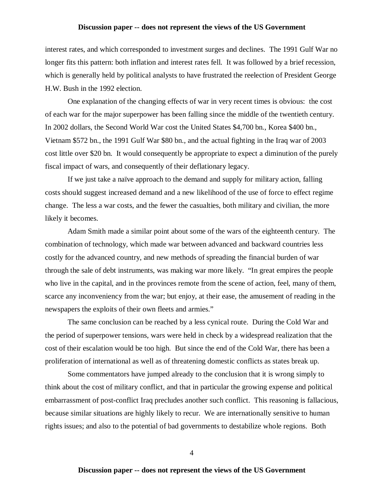interest rates, and which corresponded to investment surges and declines. The 1991 Gulf War no longer fits this pattern: both inflation and interest rates fell. It was followed by a brief recession, which is generally held by political analysts to have frustrated the reelection of President George H.W. Bush in the 1992 election.

One explanation of the changing effects of war in very recent times is obvious: the cost of each war for the major superpower has been falling since the middle of the twentieth century. In 2002 dollars, the Second World War cost the United States \$4,700 bn., Korea \$400 bn., Vietnam \$572 bn., the 1991 Gulf War \$80 bn., and the actual fighting in the Iraq war of 2003 cost little over \$20 bn. It would consequently be appropriate to expect a diminution of the purely fiscal impact of wars, and consequently of their deflationary legacy.

If we just take a naïve approach to the demand and supply for military action, falling costs should suggest increased demand and a new likelihood of the use of force to effect regime change. The less a war costs, and the fewer the casualties, both military and civilian, the more likely it becomes.

Adam Smith made a similar point about some of the wars of the eighteenth century. The combination of technology, which made war between advanced and backward countries less costly for the advanced country, and new methods of spreading the financial burden of war through the sale of debt instruments, was making war more likely. "In great empires the people who live in the capital, and in the provinces remote from the scene of action, feel, many of them, scarce any inconveniency from the war; but enjoy, at their ease, the amusement of reading in the newspapers the exploits of their own fleets and armies."

The same conclusion can be reached by a less cynical route. During the Cold War and the period of superpower tensions, wars were held in check by a widespread realization that the cost of their escalation would be too high. But since the end of the Cold War, there has been a proliferation of international as well as of threatening domestic conflicts as states break up.

Some commentators have jumped already to the conclusion that it is wrong simply to think about the cost of military conflict, and that in particular the growing expense and political embarrassment of post-conflict Iraq precludes another such conflict. This reasoning is fallacious, because similar situations are highly likely to recur. We are internationally sensitive to human rights issues; and also to the potential of bad governments to destabilize whole regions. Both

4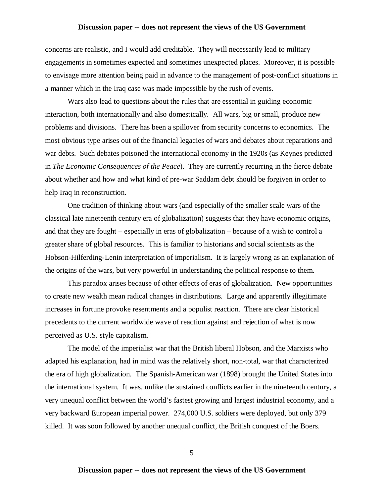concerns are realistic, and I would add creditable. They will necessarily lead to military engagements in sometimes expected and sometimes unexpected places. Moreover, it is possible to envisage more attention being paid in advance to the management of post-conflict situations in a manner which in the Iraq case was made impossible by the rush of events.

Wars also lead to questions about the rules that are essential in guiding economic interaction, both internationally and also domestically. All wars, big or small, produce new problems and divisions. There has been a spillover from security concerns to economics. The most obvious type arises out of the financial legacies of wars and debates about reparations and war debts. Such debates poisoned the international economy in the 1920s (as Keynes predicted in *The Economic Consequences of the Peace*). They are currently recurring in the fierce debate about whether and how and what kind of pre-war Saddam debt should be forgiven in order to help Iraq in reconstruction.

One tradition of thinking about wars (and especially of the smaller scale wars of the classical late nineteenth century era of globalization) suggests that they have economic origins, and that they are fought – especially in eras of globalization – because of a wish to control a greater share of global resources. This is familiar to historians and social scientists as the Hobson-Hilferding-Lenin interpretation of imperialism. It is largely wrong as an explanation of the origins of the wars, but very powerful in understanding the political response to them.

This paradox arises because of other effects of eras of globalization. New opportunities to create new wealth mean radical changes in distributions. Large and apparently illegitimate increases in fortune provoke resentments and a populist reaction. There are clear historical precedents to the current worldwide wave of reaction against and rejection of what is now perceived as U.S. style capitalism.

The model of the imperialist war that the British liberal Hobson, and the Marxists who adapted his explanation, had in mind was the relatively short, non-total, war that characterized the era of high globalization. The Spanish-American war (1898) brought the United States into the international system. It was, unlike the sustained conflicts earlier in the nineteenth century, a very unequal conflict between the world's fastest growing and largest industrial economy, and a very backward European imperial power. 274,000 U.S. soldiers were deployed, but only 379 killed. It was soon followed by another unequal conflict, the British conquest of the Boers.

5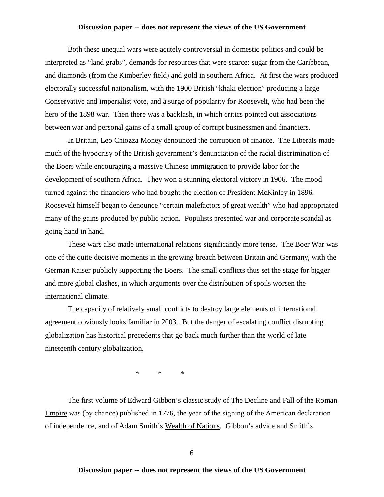Both these unequal wars were acutely controversial in domestic politics and could be interpreted as "land grabs", demands for resources that were scarce: sugar from the Caribbean, and diamonds (from the Kimberley field) and gold in southern Africa. At first the wars produced electorally successful nationalism, with the 1900 British "khaki election" producing a large Conservative and imperialist vote, and a surge of popularity for Roosevelt, who had been the hero of the 1898 war. Then there was a backlash, in which critics pointed out associations between war and personal gains of a small group of corrupt businessmen and financiers.

In Britain, Leo Chiozza Money denounced the corruption of finance. The Liberals made much of the hypocrisy of the British government's denunciation of the racial discrimination of the Boers while encouraging a massive Chinese immigration to provide labor for the development of southern Africa. They won a stunning electoral victory in 1906. The mood turned against the financiers who had bought the election of President McKinley in 1896. Roosevelt himself began to denounce "certain malefactors of great wealth" who had appropriated many of the gains produced by public action. Populists presented war and corporate scandal as going hand in hand.

These wars also made international relations significantly more tense. The Boer War was one of the quite decisive moments in the growing breach between Britain and Germany, with the German Kaiser publicly supporting the Boers. The small conflicts thus set the stage for bigger and more global clashes, in which arguments over the distribution of spoils worsen the international climate.

The capacity of relatively small conflicts to destroy large elements of international agreement obviously looks familiar in 2003. But the danger of escalating conflict disrupting globalization has historical precedents that go back much further than the world of late nineteenth century globalization.

\*\*\*

The first volume of Edward Gibbon's classic study of The Decline and Fall of the Roman Empire was (by chance) published in 1776, the year of the signing of the American declaration of independence, and of Adam Smith's Wealth of Nations. Gibbon's advice and Smith's

6

## **Discussion paper -- does not represent the views of the US Government**